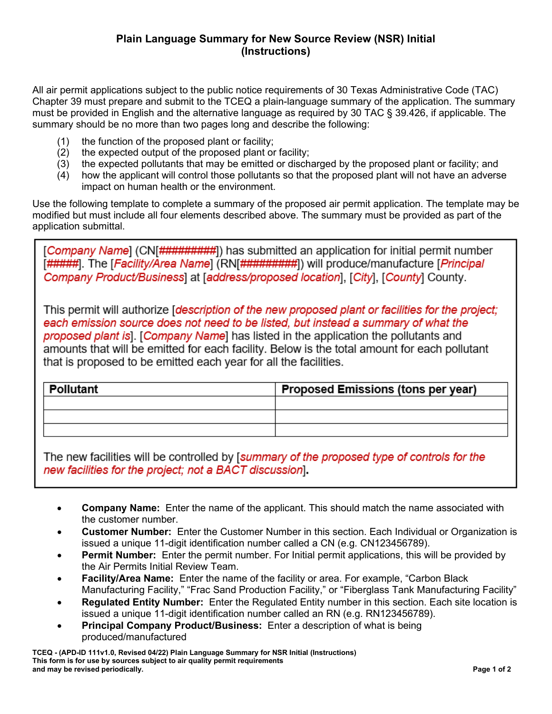All air permit applications subject to the public notice requirements of 30 Texas Administrative Code (TAC) Chapter 39 must prepare and submit to the TCEQ a plain-language summary of the application. The summary must be provided in English and the alternative language as required by 30 TAC § 39.426, if applicable. The summary should be no more than two pages long and describe the following:

- (1) the function of the proposed plant or facility;
- (2) the expected output of the proposed plant or facility;
- (3) the expected pollutants that may be emitted or discharged by the proposed plant or facility; and
- (4) how the applicant will control those pollutants so that the proposed plant will not have an adverse impact on human health or the environment.

Use the following template to complete a summary of the proposed air permit application. The template may be modified but must include all four elements described above. The summary must be provided as part of the application submittal.

[Company Name] (CN[#########]) has submitted an application for initial permit number [#####]. The [Facility/Area Name] (RN[#########]) will produce/manufacture [Principal Company Product/Business] at [address/proposed location], [City], [County] County.

This permit will authorize *description of the new proposed plant or facilities for the project*; each emission source does not need to be listed, but instead a summary of what the proposed plant is. [Company Name] has listed in the application the pollutants and amounts that will be emitted for each facility. Below is the total amount for each pollutant that is proposed to be emitted each year for all the facilities.

| ∣ Pollutant | Proposed Emissions (tons per year) |
|-------------|------------------------------------|
|             |                                    |
|             |                                    |
|             |                                    |

The new facilities will be controlled by [summary of the proposed type of controls for the new facilities for the project; not a BACT discussion].

- **Company Name:** Enter the name of the applicant. This should match the name associated with the customer number.
- **Customer Number:** Enter the Customer Number in this section. Each Individual or Organization is issued a unique 11-digit identification number called a CN (e.g. CN123456789).
- **Permit Number:** Enter the permit number. For Initial permit applications, this will be provided by the Air Permits Initial Review Team.
- **Facility/Area Name:** Enter the name of the facility or area. For example, "Carbon Black Manufacturing Facility," "Frac Sand Production Facility," or "Fiberglass Tank Manufacturing Facility"
- **Regulated Entity Number:** Enter the Regulated Entity number in this section. Each site location is issued a unique 11-digit identification number called an RN (e.g. RN123456789).
- **Principal Company Product/Business:** Enter a description of what is being produced/manufactured

**TCEQ - (APD-ID 111v1.0, Revised 04/22) Plain Language Summary for NSR Initial (Instructions) This form is for use by sources subject to air quality permit requirements and may be revised periodically. Page 1 of 2**